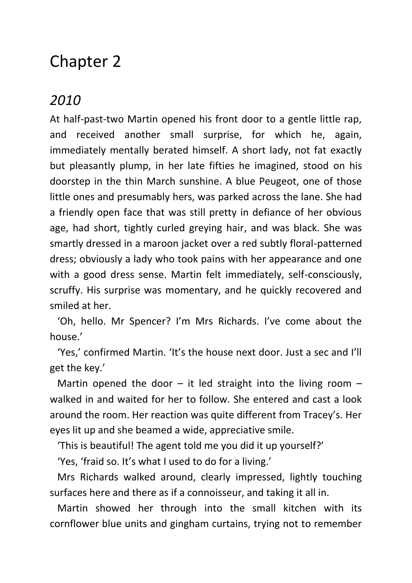## Chapter 2

## *2010*

At half-past-two Martin opened his front door to a gentle little rap, and received another small surprise, for which he, again, immediately mentally berated himself. A short lady, not fat exactly but pleasantly plump, in her late fifties he imagined, stood on his doorstep in the thin March sunshine. A blue Peugeot, one of those little ones and presumably hers, was parked across the lane. She had a friendly open face that was still pretty in defiance of her obvious age, had short, tightly curled greying hair, and was black. She was smartly dressed in a maroon jacket over a red subtly floral-patterned dress; obviously a lady who took pains with her appearance and one with a good dress sense. Martin felt immediately, self-consciously, scruffy. His surprise was momentary, and he quickly recovered and smiled at her.

 'Oh, hello. Mr Spencer? I'm Mrs Richards. I've come about the house.'

 'Yes,' confirmed Martin. 'It's the house next door. Just a sec and I'll get the key.'

Martin opened the door  $-$  it led straight into the living room  $$ walked in and waited for her to follow. She entered and cast a look around the room. Her reaction was quite different from Tracey's. Her eyes lit up and she beamed a wide, appreciative smile.

'This is beautiful! The agent told me you did it up yourself?'

'Yes, 'fraid so. It's what I used to do for a living.'

 Mrs Richards walked around, clearly impressed, lightly touching surfaces here and there as if a connoisseur, and taking it all in.

 Martin showed her through into the small kitchen with its cornflower blue units and gingham curtains, trying not to remember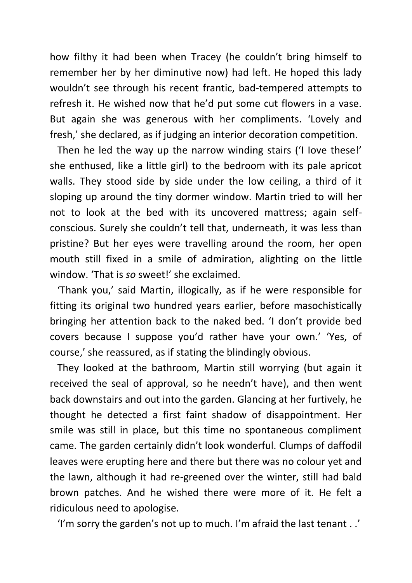how filthy it had been when Tracey (he couldn't bring himself to remember her by her diminutive now) had left. He hoped this lady wouldn't see through his recent frantic, bad-tempered attempts to refresh it. He wished now that he'd put some cut flowers in a vase. But again she was generous with her compliments. 'Lovely and fresh,' she declared, as if judging an interior decoration competition.

 Then he led the way up the narrow winding stairs ('I Iove these!' she enthused, like a little girl) to the bedroom with its pale apricot walls. They stood side by side under the low ceiling, a third of it sloping up around the tiny dormer window. Martin tried to will her not to look at the bed with its uncovered mattress; again selfconscious. Surely she couldn't tell that, underneath, it was less than pristine? But her eyes were travelling around the room, her open mouth still fixed in a smile of admiration, alighting on the little window. 'That is *so* sweet!' she exclaimed.

 'Thank you,' said Martin, illogically, as if he were responsible for fitting its original two hundred years earlier, before masochistically bringing her attention back to the naked bed. 'I don't provide bed covers because I suppose you'd rather have your own.' 'Yes, of course,' she reassured, as if stating the blindingly obvious.

 They looked at the bathroom, Martin still worrying (but again it received the seal of approval, so he needn't have), and then went back downstairs and out into the garden. Glancing at her furtively, he thought he detected a first faint shadow of disappointment. Her smile was still in place, but this time no spontaneous compliment came. The garden certainly didn't look wonderful. Clumps of daffodil leaves were erupting here and there but there was no colour yet and the lawn, although it had re-greened over the winter, still had bald brown patches. And he wished there were more of it. He felt a ridiculous need to apologise.

'I'm sorry the garden's not up to much. I'm afraid the last tenant . .'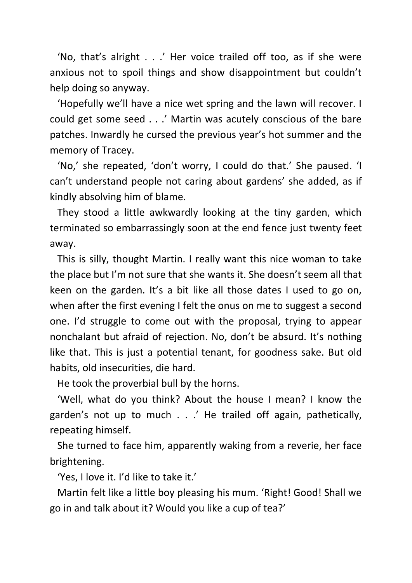'No, that's alright . . .' Her voice trailed off too, as if she were anxious not to spoil things and show disappointment but couldn't help doing so anyway.

 'Hopefully we'll have a nice wet spring and the lawn will recover. I could get some seed . . .' Martin was acutely conscious of the bare patches. Inwardly he cursed the previous year's hot summer and the memory of Tracey.

 'No,' she repeated, 'don't worry, I could do that.' She paused. 'I can't understand people not caring about gardens' she added, as if kindly absolving him of blame.

 They stood a little awkwardly looking at the tiny garden, which terminated so embarrassingly soon at the end fence just twenty feet away.

 This is silly, thought Martin. I really want this nice woman to take the place but I'm not sure that she wants it. She doesn't seem all that keen on the garden. It's a bit like all those dates I used to go on, when after the first evening I felt the onus on me to suggest a second one. I'd struggle to come out with the proposal, trying to appear nonchalant but afraid of rejection. No, don't be absurd. It's nothing like that. This is just a potential tenant, for goodness sake. But old habits, old insecurities, die hard.

He took the proverbial bull by the horns.

 'Well, what do you think? About the house I mean? I know the garden's not up to much . . .' He trailed off again, pathetically, repeating himself.

 She turned to face him, apparently waking from a reverie, her face brightening.

'Yes, I love it. I'd like to take it.'

 Martin felt like a little boy pleasing his mum. 'Right! Good! Shall we go in and talk about it? Would you like a cup of tea?'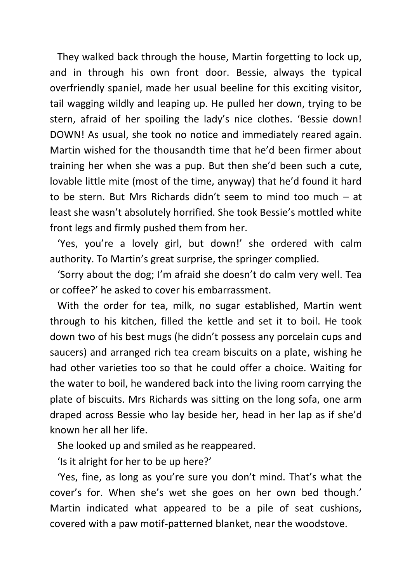They walked back through the house, Martin forgetting to lock up, and in through his own front door. Bessie, always the typical overfriendly spaniel, made her usual beeline for this exciting visitor, tail wagging wildly and leaping up. He pulled her down, trying to be stern, afraid of her spoiling the lady's nice clothes. 'Bessie down! DOWN! As usual, she took no notice and immediately reared again. Martin wished for the thousandth time that he'd been firmer about training her when she was a pup. But then she'd been such a cute, lovable little mite (most of the time, anyway) that he'd found it hard to be stern. But Mrs Richards didn't seem to mind too much – at least she wasn't absolutely horrified. She took Bessie's mottled white front legs and firmly pushed them from her.

 'Yes, you're a lovely girl, but down!' she ordered with calm authority. To Martin's great surprise, the springer complied.

 'Sorry about the dog; I'm afraid she doesn't do calm very well. Tea or coffee?' he asked to cover his embarrassment.

 With the order for tea, milk, no sugar established, Martin went through to his kitchen, filled the kettle and set it to boil. He took down two of his best mugs (he didn't possess any porcelain cups and saucers) and arranged rich tea cream biscuits on a plate, wishing he had other varieties too so that he could offer a choice. Waiting for the water to boil, he wandered back into the living room carrying the plate of biscuits. Mrs Richards was sitting on the long sofa, one arm draped across Bessie who lay beside her, head in her lap as if she'd known her all her life.

She looked up and smiled as he reappeared.

'Is it alright for her to be up here?'

 'Yes, fine, as long as you're sure you don't mind. That's what the cover's for. When she's wet she goes on her own bed though.' Martin indicated what appeared to be a pile of seat cushions, covered with a paw motif-patterned blanket, near the woodstove.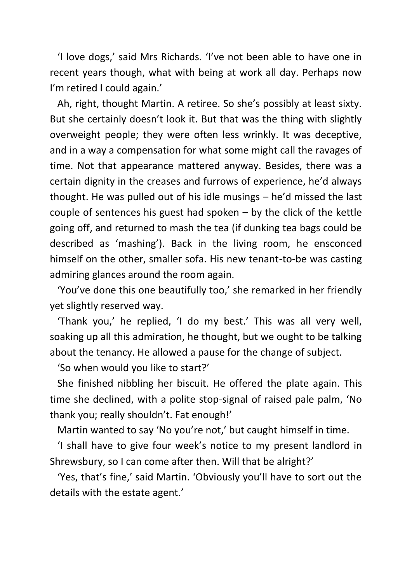'I love dogs,' said Mrs Richards. 'I've not been able to have one in recent years though, what with being at work all day. Perhaps now I'm retired I could again.'

 Ah, right, thought Martin. A retiree. So she's possibly at least sixty. But she certainly doesn't look it. But that was the thing with slightly overweight people; they were often less wrinkly. It was deceptive, and in a way a compensation for what some might call the ravages of time. Not that appearance mattered anyway. Besides, there was a certain dignity in the creases and furrows of experience, he'd always thought. He was pulled out of his idle musings – he'd missed the last couple of sentences his guest had spoken – by the click of the kettle going off, and returned to mash the tea (if dunking tea bags could be described as 'mashing'). Back in the living room, he ensconced himself on the other, smaller sofa. His new tenant-to-be was casting admiring glances around the room again.

 'You've done this one beautifully too,' she remarked in her friendly yet slightly reserved way.

 'Thank you,' he replied, 'I do my best.' This was all very well, soaking up all this admiration, he thought, but we ought to be talking about the tenancy. He allowed a pause for the change of subject.

'So when would you like to start?'

 She finished nibbling her biscuit. He offered the plate again. This time she declined, with a polite stop-signal of raised pale palm, 'No thank you; really shouldn't. Fat enough!'

Martin wanted to say 'No you're not,' but caught himself in time.

 'I shall have to give four week's notice to my present landlord in Shrewsbury, so I can come after then. Will that be alright?'

 'Yes, that's fine,' said Martin. 'Obviously you'll have to sort out the details with the estate agent.'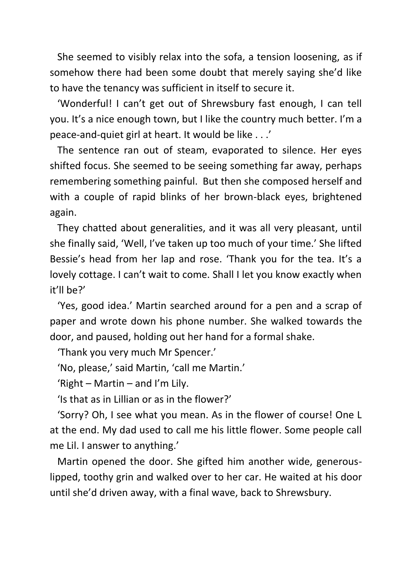She seemed to visibly relax into the sofa, a tension loosening, as if somehow there had been some doubt that merely saying she'd like to have the tenancy was sufficient in itself to secure it.

 'Wonderful! I can't get out of Shrewsbury fast enough, I can tell you. It's a nice enough town, but I like the country much better. I'm a peace-and-quiet girl at heart. It would be like . . .'

 The sentence ran out of steam, evaporated to silence. Her eyes shifted focus. She seemed to be seeing something far away, perhaps remembering something painful. But then she composed herself and with a couple of rapid blinks of her brown-black eyes, brightened again.

 They chatted about generalities, and it was all very pleasant, until she finally said, 'Well, I've taken up too much of your time.' She lifted Bessie's head from her lap and rose. 'Thank you for the tea. It's a lovely cottage. I can't wait to come. Shall I let you know exactly when it'll be?'

 'Yes, good idea.' Martin searched around for a pen and a scrap of paper and wrote down his phone number. She walked towards the door, and paused, holding out her hand for a formal shake.

'Thank you very much Mr Spencer.'

'No, please,' said Martin, 'call me Martin.'

'Right – Martin – and I'm Lily.

'Is that as in Lillian or as in the flower?'

 'Sorry? Oh, I see what you mean. As in the flower of course! One L at the end. My dad used to call me his little flower. Some people call me Lil. I answer to anything.'

 Martin opened the door. She gifted him another wide, generouslipped, toothy grin and walked over to her car. He waited at his door until she'd driven away, with a final wave, back to Shrewsbury.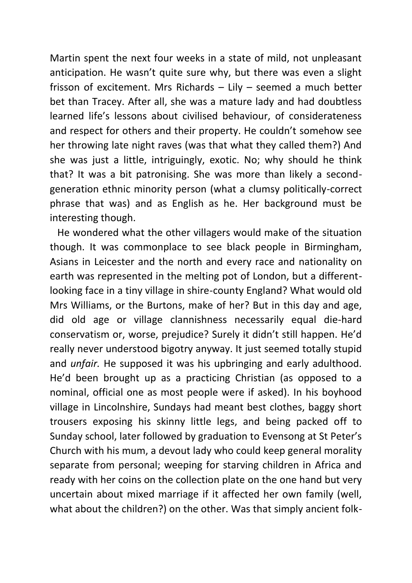Martin spent the next four weeks in a state of mild, not unpleasant anticipation. He wasn't quite sure why, but there was even a slight frisson of excitement. Mrs Richards – Lily – seemed a much better bet than Tracey. After all, she was a mature lady and had doubtless learned life's lessons about civilised behaviour, of considerateness and respect for others and their property. He couldn't somehow see her throwing late night raves (was that what they called them?) And she was just a little, intriguingly, exotic. No; why should he think that? It was a bit patronising. She was more than likely a secondgeneration ethnic minority person (what a clumsy politically-correct phrase that was) and as English as he. Her background must be interesting though.

 He wondered what the other villagers would make of the situation though. It was commonplace to see black people in Birmingham, Asians in Leicester and the north and every race and nationality on earth was represented in the melting pot of London, but a differentlooking face in a tiny village in shire-county England? What would old Mrs Williams, or the Burtons, make of her? But in this day and age, did old age or village clannishness necessarily equal die-hard conservatism or, worse, prejudice? Surely it didn't still happen. He'd really never understood bigotry anyway. It just seemed totally stupid and *unfair.* He supposed it was his upbringing and early adulthood. He'd been brought up as a practicing Christian (as opposed to a nominal, official one as most people were if asked). In his boyhood village in Lincolnshire, Sundays had meant best clothes, baggy short trousers exposing his skinny little legs, and being packed off to Sunday school, later followed by graduation to Evensong at St Peter's Church with his mum, a devout lady who could keep general morality separate from personal; weeping for starving children in Africa and ready with her coins on the collection plate on the one hand but very uncertain about mixed marriage if it affected her own family (well, what about the children?) on the other. Was that simply ancient folk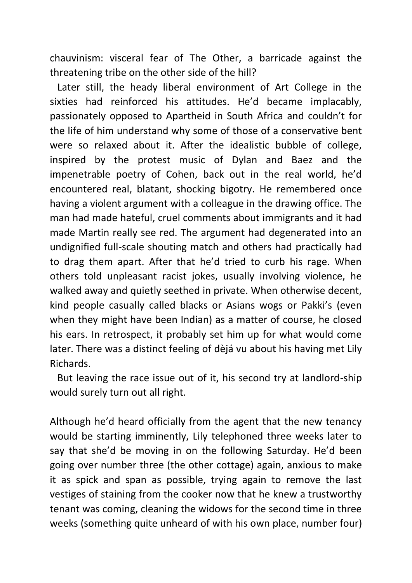chauvinism: visceral fear of The Other, a barricade against the threatening tribe on the other side of the hill?

 Later still, the heady liberal environment of Art College in the sixties had reinforced his attitudes. He'd became implacably, passionately opposed to Apartheid in South Africa and couldn't for the life of him understand why some of those of a conservative bent were so relaxed about it. After the idealistic bubble of college, inspired by the protest music of Dylan and Baez and the impenetrable poetry of Cohen, back out in the real world, he'd encountered real, blatant, shocking bigotry. He remembered once having a violent argument with a colleague in the drawing office. The man had made hateful, cruel comments about immigrants and it had made Martin really see red. The argument had degenerated into an undignified full-scale shouting match and others had practically had to drag them apart. After that he'd tried to curb his rage. When others told unpleasant racist jokes, usually involving violence, he walked away and quietly seethed in private. When otherwise decent, kind people casually called blacks or Asians wogs or Pakki's (even when they might have been Indian) as a matter of course, he closed his ears. In retrospect, it probably set him up for what would come later. There was a distinct feeling of dèjá vu about his having met Lily Richards.

 But leaving the race issue out of it, his second try at landlord-ship would surely turn out all right.

Although he'd heard officially from the agent that the new tenancy would be starting imminently, Lily telephoned three weeks later to say that she'd be moving in on the following Saturday. He'd been going over number three (the other cottage) again, anxious to make it as spick and span as possible, trying again to remove the last vestiges of staining from the cooker now that he knew a trustworthy tenant was coming, cleaning the widows for the second time in three weeks (something quite unheard of with his own place, number four)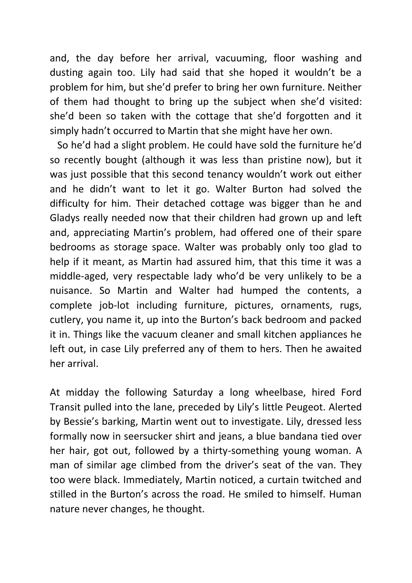and, the day before her arrival, vacuuming, floor washing and dusting again too. Lily had said that she hoped it wouldn't be a problem for him, but she'd prefer to bring her own furniture. Neither of them had thought to bring up the subject when she'd visited: she'd been so taken with the cottage that she'd forgotten and it simply hadn't occurred to Martin that she might have her own.

 So he'd had a slight problem. He could have sold the furniture he'd so recently bought (although it was less than pristine now), but it was just possible that this second tenancy wouldn't work out either and he didn't want to let it go. Walter Burton had solved the difficulty for him. Their detached cottage was bigger than he and Gladys really needed now that their children had grown up and left and, appreciating Martin's problem, had offered one of their spare bedrooms as storage space. Walter was probably only too glad to help if it meant, as Martin had assured him, that this time it was a middle-aged, very respectable lady who'd be very unlikely to be a nuisance. So Martin and Walter had humped the contents, a complete job-lot including furniture, pictures, ornaments, rugs, cutlery, you name it, up into the Burton's back bedroom and packed it in. Things like the vacuum cleaner and small kitchen appliances he left out, in case Lily preferred any of them to hers. Then he awaited her arrival.

At midday the following Saturday a long wheelbase, hired Ford Transit pulled into the lane, preceded by Lily's little Peugeot. Alerted by Bessie's barking, Martin went out to investigate. Lily, dressed less formally now in seersucker shirt and jeans, a blue bandana tied over her hair, got out, followed by a thirty-something young woman. A man of similar age climbed from the driver's seat of the van. They too were black. Immediately, Martin noticed, a curtain twitched and stilled in the Burton's across the road. He smiled to himself. Human nature never changes, he thought.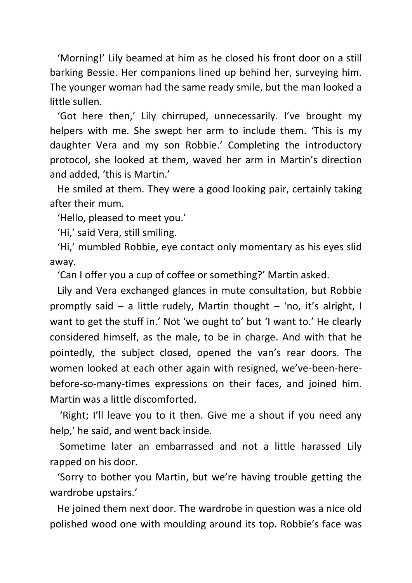'Morning!' Lily beamed at him as he closed his front door on a still barking Bessie. Her companions lined up behind her, surveying him. The younger woman had the same ready smile, but the man looked a little sullen.

 'Got here then,' Lily chirruped, unnecessarily. I've brought my helpers with me. She swept her arm to include them. 'This is my daughter Vera and my son Robbie.' Completing the introductory protocol, she looked at them, waved her arm in Martin's direction and added, 'this is Martin.'

 He smiled at them. They were a good looking pair, certainly taking after their mum.

'Hello, pleased to meet you.'

'Hi,' said Vera, still smiling.

 'Hi,' mumbled Robbie, eye contact only momentary as his eyes slid away.

'Can I offer you a cup of coffee or something?' Martin asked.

 Lily and Vera exchanged glances in mute consultation, but Robbie promptly said – a little rudely, Martin thought – 'no, it's alright, I want to get the stuff in.' Not 'we ought to' but 'I want to.' He clearly considered himself, as the male, to be in charge. And with that he pointedly, the subject closed, opened the van's rear doors. The women looked at each other again with resigned, we've-been-herebefore-so-many-times expressions on their faces, and joined him. Martin was a little discomforted.

 'Right; I'll leave you to it then. Give me a shout if you need any help,' he said, and went back inside.

 Sometime later an embarrassed and not a little harassed Lily rapped on his door.

 'Sorry to bother you Martin, but we're having trouble getting the wardrobe upstairs.'

 He joined them next door. The wardrobe in question was a nice old polished wood one with moulding around its top. Robbie's face was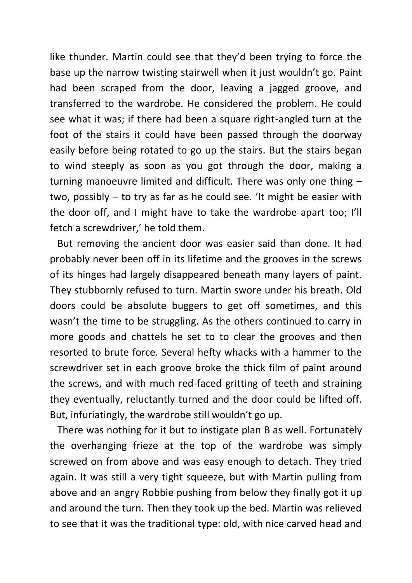like thunder. Martin could see that they'd been trying to force the base up the narrow twisting stairwell when it just wouldn't go. Paint had been scraped from the door, leaving a jagged groove, and transferred to the wardrobe. He considered the problem. He could see what it was; if there had been a square right-angled turn at the foot of the stairs it could have been passed through the doorway easily before being rotated to go up the stairs. But the stairs began to wind steeply as soon as you got through the door, making a turning manoeuvre limited and difficult. There was only one thing – two, possibly – to try as far as he could see. 'It might be easier with the door off, and I might have to take the wardrobe apart too; I'll fetch a screwdriver,' he told them.

 But removing the ancient door was easier said than done. It had probably never been off in its lifetime and the grooves in the screws of its hinges had largely disappeared beneath many layers of paint. They stubbornly refused to turn. Martin swore under his breath. Old doors could be absolute buggers to get off sometimes, and this wasn't the time to be struggling. As the others continued to carry in more goods and chattels he set to to clear the grooves and then resorted to brute force. Several hefty whacks with a hammer to the screwdriver set in each groove broke the thick film of paint around the screws, and with much red-faced gritting of teeth and straining they eventually, reluctantly turned and the door could be lifted off. But, infuriatingly, the wardrobe still wouldn't go up.

 There was nothing for it but to instigate plan B as well. Fortunately the overhanging frieze at the top of the wardrobe was simply screwed on from above and was easy enough to detach. They tried again. It was still a very tight squeeze, but with Martin pulling from above and an angry Robbie pushing from below they finally got it up and around the turn. Then they took up the bed. Martin was relieved to see that it was the traditional type: old, with nice carved head and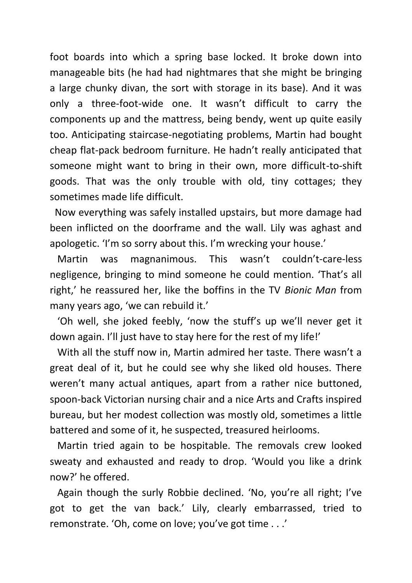foot boards into which a spring base locked. It broke down into manageable bits (he had had nightmares that she might be bringing a large chunky divan, the sort with storage in its base). And it was only a three-foot-wide one. It wasn't difficult to carry the components up and the mattress, being bendy, went up quite easily too. Anticipating staircase-negotiating problems, Martin had bought cheap flat-pack bedroom furniture. He hadn't really anticipated that someone might want to bring in their own, more difficult-to-shift goods. That was the only trouble with old, tiny cottages; they sometimes made life difficult.

 Now everything was safely installed upstairs, but more damage had been inflicted on the doorframe and the wall. Lily was aghast and apologetic. 'I'm so sorry about this. I'm wrecking your house.'

 Martin was magnanimous. This wasn't couldn't-care-less negligence, bringing to mind someone he could mention. 'That's all right,' he reassured her, like the boffins in the TV *Bionic Man* from many years ago, 'we can rebuild it.'

 'Oh well, she joked feebly, 'now the stuff's up we'll never get it down again. I'll just have to stay here for the rest of my life!'

 With all the stuff now in, Martin admired her taste. There wasn't a great deal of it, but he could see why she liked old houses. There weren't many actual antiques, apart from a rather nice buttoned, spoon-back Victorian nursing chair and a nice Arts and Crafts inspired bureau, but her modest collection was mostly old, sometimes a little battered and some of it, he suspected, treasured heirlooms.

 Martin tried again to be hospitable. The removals crew looked sweaty and exhausted and ready to drop. 'Would you like a drink now?' he offered.

 Again though the surly Robbie declined. 'No, you're all right; I've got to get the van back.' Lily, clearly embarrassed, tried to remonstrate. 'Oh, come on love; you've got time . . .'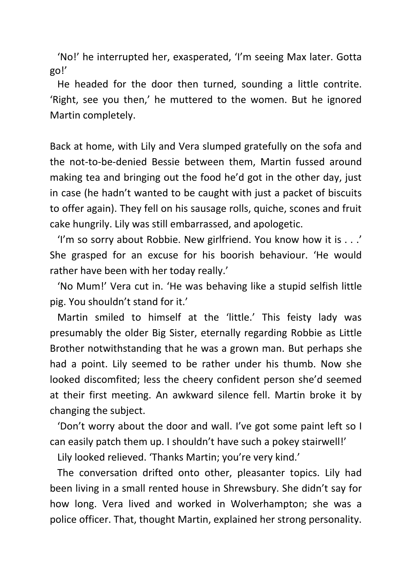'No!' he interrupted her, exasperated, 'I'm seeing Max later. Gotta go!'

 He headed for the door then turned, sounding a little contrite. 'Right, see you then,' he muttered to the women. But he ignored Martin completely.

Back at home, with Lily and Vera slumped gratefully on the sofa and the not-to-be-denied Bessie between them, Martin fussed around making tea and bringing out the food he'd got in the other day, just in case (he hadn't wanted to be caught with just a packet of biscuits to offer again). They fell on his sausage rolls, quiche, scones and fruit cake hungrily. Lily was still embarrassed, and apologetic.

 'I'm so sorry about Robbie. New girlfriend. You know how it is . . .' She grasped for an excuse for his boorish behaviour. 'He would rather have been with her today really.'

 'No Mum!' Vera cut in. 'He was behaving like a stupid selfish little pig. You shouldn't stand for it.'

 Martin smiled to himself at the 'little.' This feisty lady was presumably the older Big Sister, eternally regarding Robbie as Little Brother notwithstanding that he was a grown man. But perhaps she had a point. Lily seemed to be rather under his thumb. Now she looked discomfited; less the cheery confident person she'd seemed at their first meeting. An awkward silence fell. Martin broke it by changing the subject.

 'Don't worry about the door and wall. I've got some paint left so I can easily patch them up. I shouldn't have such a pokey stairwell!'

Lily looked relieved. 'Thanks Martin; you're very kind.'

 The conversation drifted onto other, pleasanter topics. Lily had been living in a small rented house in Shrewsbury. She didn't say for how long. Vera lived and worked in Wolverhampton; she was a police officer. That, thought Martin, explained her strong personality.